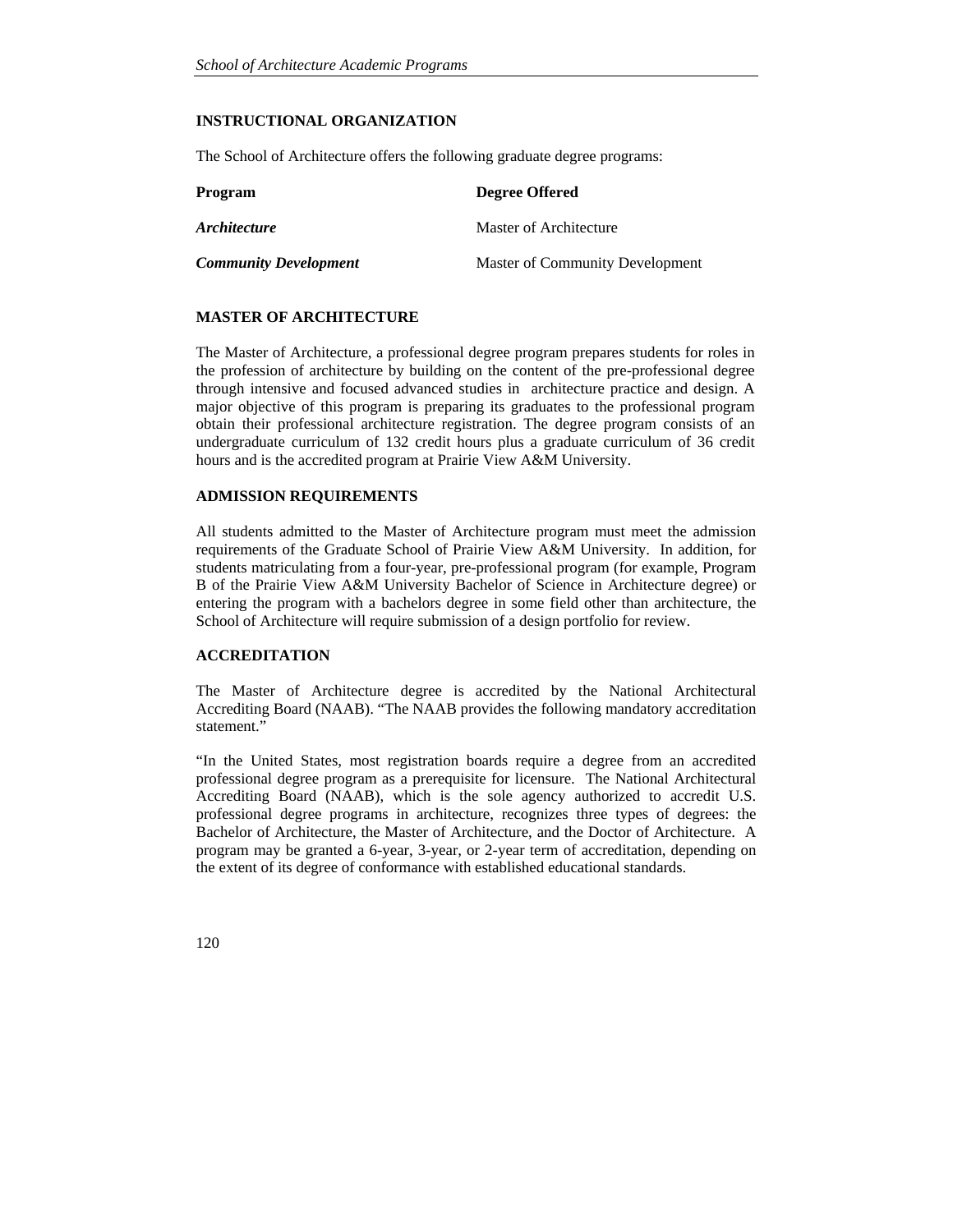# **INSTRUCTIONAL ORGANIZATION**

The School of Architecture offers the following graduate degree programs:

| <b>Program</b>               | <b>Degree Offered</b>           |  |  |
|------------------------------|---------------------------------|--|--|
| <i><b>Architecture</b></i>   | Master of Architecture          |  |  |
| <b>Community Development</b> | Master of Community Development |  |  |

# **MASTER OF ARCHITECTURE**

The Master of Architecture, a professional degree program prepares students for roles in the profession of architecture by building on the content of the pre-professional degree through intensive and focused advanced studies in architecture practice and design. A major objective of this program is preparing its graduates to the professional program obtain their professional architecture registration. The degree program consists of an undergraduate curriculum of 132 credit hours plus a graduate curriculum of 36 credit hours and is the accredited program at Prairie View A&M University.

## **ADMISSION REQUIREMENTS**

All students admitted to the Master of Architecture program must meet the admission requirements of the Graduate School of Prairie View A&M University. In addition, for students matriculating from a four-year, pre-professional program (for example, Program B of the Prairie View A&M University Bachelor of Science in Architecture degree) or entering the program with a bachelors degree in some field other than architecture, the School of Architecture will require submission of a design portfolio for review.

# **ACCREDITATION**

The Master of Architecture degree is accredited by the National Architectural Accrediting Board (NAAB). "The NAAB provides the following mandatory accreditation statement."

"In the United States, most registration boards require a degree from an accredited professional degree program as a prerequisite for licensure. The National Architectural Accrediting Board (NAAB), which is the sole agency authorized to accredit U.S. professional degree programs in architecture, recognizes three types of degrees: the Bachelor of Architecture, the Master of Architecture, and the Doctor of Architecture. A program may be granted a 6-year, 3-year, or 2-year term of accreditation, depending on the extent of its degree of conformance with established educational standards.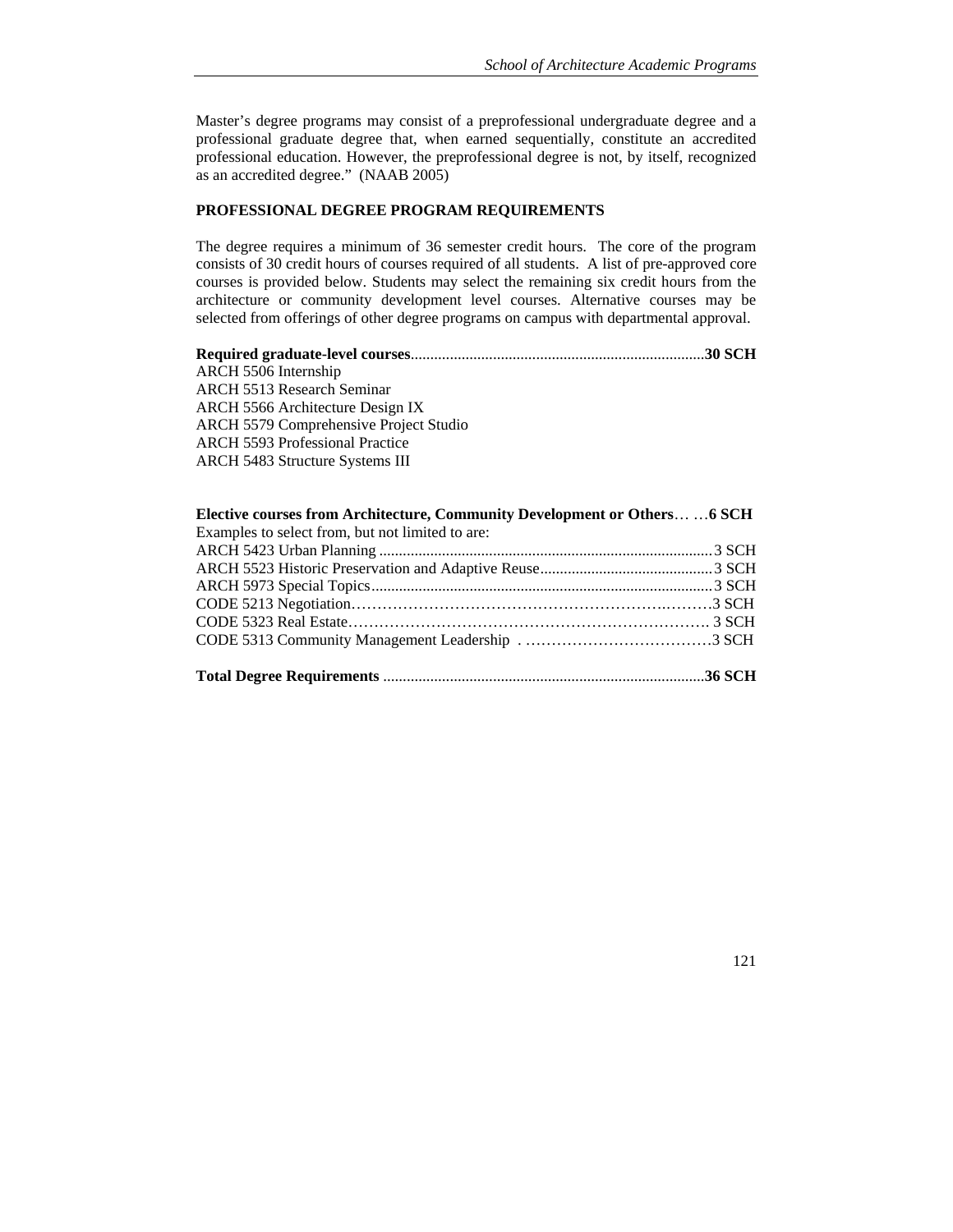Master's degree programs may consist of a preprofessional undergraduate degree and a professional graduate degree that, when earned sequentially, constitute an accredited professional education. However, the preprofessional degree is not, by itself, recognized as an accredited degree." (NAAB 2005)

# **PROFESSIONAL DEGREE PROGRAM REQUIREMENTS**

The degree requires a minimum of 36 semester credit hours. The core of the program consists of 30 credit hours of courses required of all students. A list of pre-approved core courses is provided below. Students may select the remaining six credit hours from the architecture or community development level courses. Alternative courses may be selected from offerings of other degree programs on campus with departmental approval.

| ARCH 5506 Internship                   |  |
|----------------------------------------|--|
| <b>ARCH 5513 Research Seminar</b>      |  |
| ARCH 5566 Architecture Design IX       |  |
| ARCH 5579 Comprehensive Project Studio |  |
| <b>ARCH 5593 Professional Practice</b> |  |
| ARCH 5483 Structure Systems III        |  |
|                                        |  |

| Elective courses from Architecture, Community Development or Others  6 SCH |  |
|----------------------------------------------------------------------------|--|
| Examples to select from, but not limited to are:                           |  |
|                                                                            |  |
|                                                                            |  |
|                                                                            |  |
|                                                                            |  |
|                                                                            |  |
|                                                                            |  |
|                                                                            |  |
|                                                                            |  |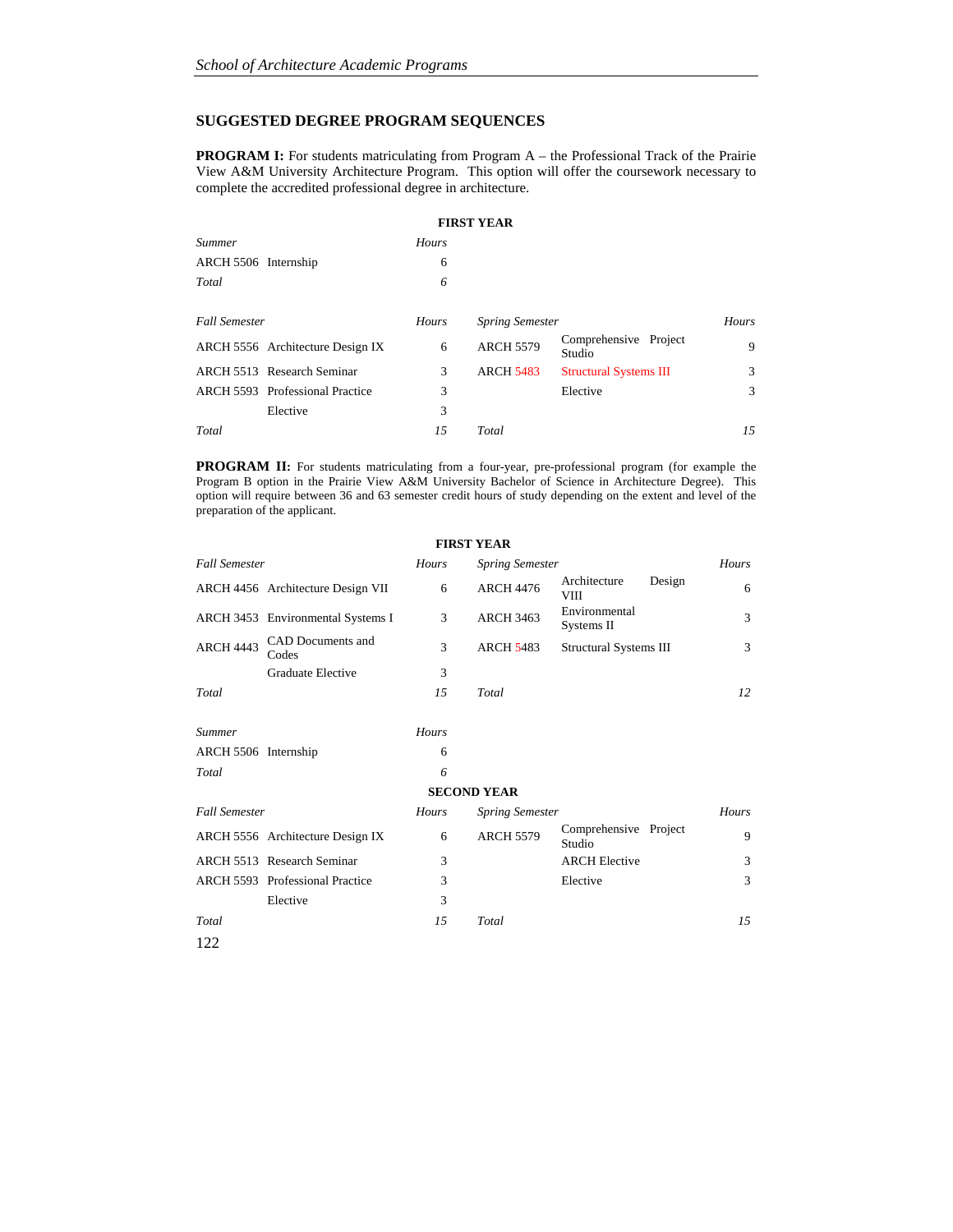# **SUGGESTED DEGREE PROGRAM SEQUENCES**

**PROGRAM I:** For students matriculating from Program A – the Professional Track of the Prairie View A&M University Architecture Program. This option will offer the coursework necessary to complete the accredited professional degree in architecture.

|                      |                                        |       | <b>FIRST YEAR</b>      |                                 |              |
|----------------------|----------------------------------------|-------|------------------------|---------------------------------|--------------|
| <b>Summer</b>        |                                        | Hours |                        |                                 |              |
| ARCH 5506 Internship |                                        | 6     |                        |                                 |              |
| Total                |                                        | 6     |                        |                                 |              |
|                      |                                        |       |                        |                                 |              |
| <b>Fall Semester</b> |                                        | Hours | <b>Spring Semester</b> |                                 | <b>Hours</b> |
|                      | ARCH 5556 Architecture Design IX       | 6     | <b>ARCH 5579</b>       | Comprehensive Project<br>Studio | 9            |
|                      | ARCH 5513 Research Seminar             | 3     | <b>ARCH 5483</b>       | <b>Structural Systems III</b>   | 3            |
|                      | <b>ARCH 5593</b> Professional Practice | 3     |                        | Elective                        | 3            |
|                      | Elective                               | 3     |                        |                                 |              |
| Total                |                                        | 15    | Total                  |                                 | 15           |

**PROGRAM II:** For students matriculating from a four-year, pre-professional program (for example the Program B option in the Prairie View A&M University Bachelor of Science in Architecture Degree). This option will require between 36 and 63 semester credit hours of study depending on the extent and level of the preparation of the applicant.

**FIRST YEAR** 

| <b>Fall Semester</b> |                                   | Hours        | <b>Spring Semester</b> |                                 | Hours       |  |
|----------------------|-----------------------------------|--------------|------------------------|---------------------------------|-------------|--|
|                      | ARCH 4456 Architecture Design VII | 6            | <b>ARCH 4476</b>       | Architecture<br><b>VIII</b>     | Design<br>6 |  |
|                      | ARCH 3453 Environmental Systems I | 3            | <b>ARCH 3463</b>       | Environmental<br>Systems II     | 3           |  |
| <b>ARCH 4443</b>     | CAD Documents and<br>Codes        | 3            | <b>ARCH 5483</b>       | <b>Structural Systems III</b>   | 3           |  |
|                      | Graduate Elective                 | 3            |                        |                                 |             |  |
| Total                |                                   | 1.5          | Total                  |                                 | 12          |  |
| <i>Summer</i>        |                                   | Hours        |                        |                                 |             |  |
| ARCH 5506 Internship |                                   | 6            |                        |                                 |             |  |
| Total                |                                   | 6            |                        |                                 |             |  |
| <b>SECOND YEAR</b>   |                                   |              |                        |                                 |             |  |
| <b>Fall Semester</b> |                                   | <b>Hours</b> | <b>Spring Semester</b> |                                 | Hours       |  |
|                      | ARCH 5556 Architecture Design IX  | 6            | <b>ARCH 5579</b>       | Comprehensive Project<br>Studio | 9           |  |
|                      | ARCH 5513 Research Seminar        | 3            |                        | <b>ARCH Elective</b>            | 3           |  |
|                      | ARCH 5593 Professional Practice   | 3            |                        | Elective                        | 3           |  |
|                      | Elective                          | 3            |                        |                                 |             |  |
| Total                |                                   | 15           | Total                  |                                 | 1.5         |  |
| 122                  |                                   |              |                        |                                 |             |  |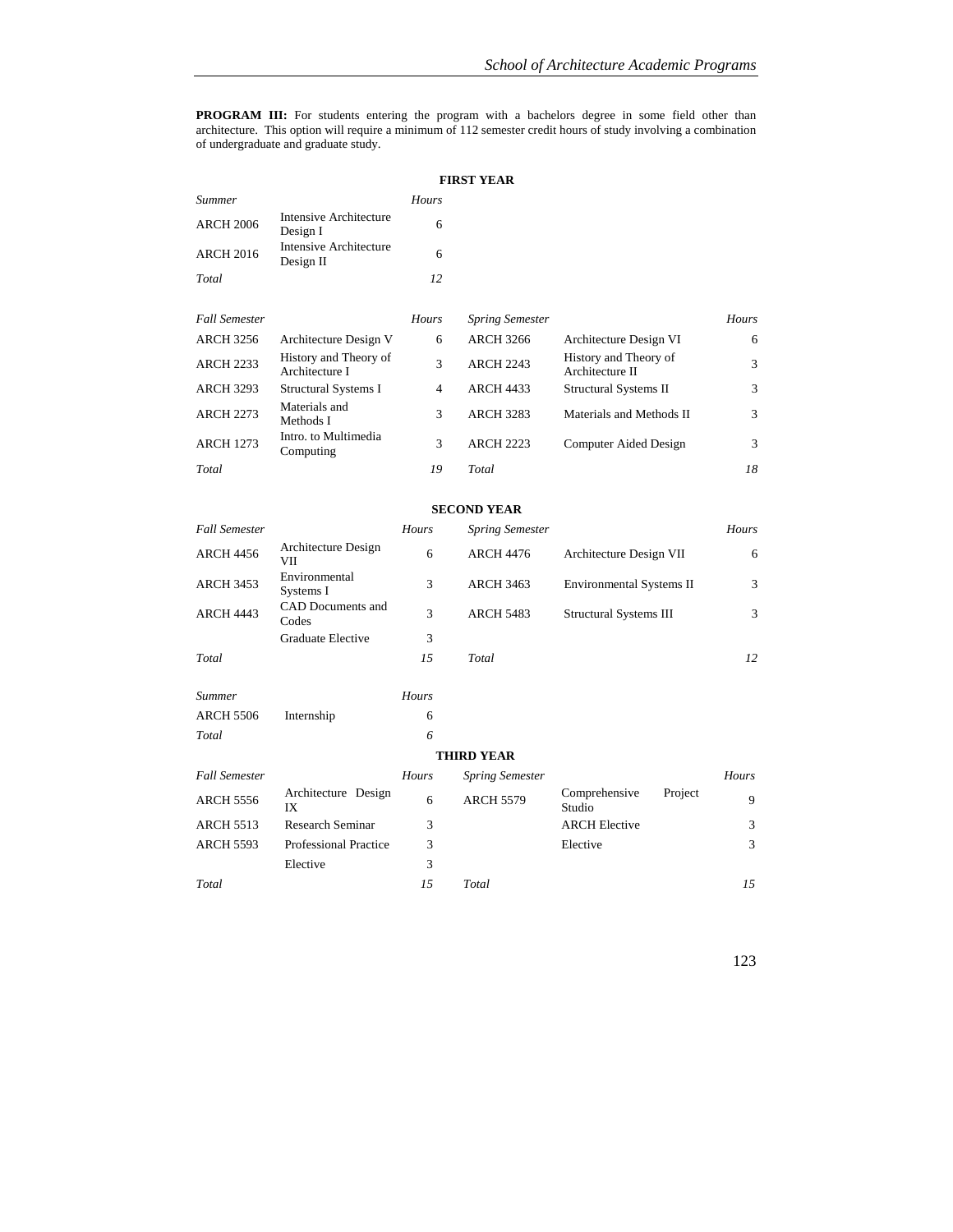**PROGRAM III:** For students entering the program with a bachelors degree in some field other than architecture. This option will require a minimum of 112 semester credit hours of study involving a combination of undergraduate and graduate study.

| <b>FIRST YEAR</b>    |                                         |                |                        |                                          |       |
|----------------------|-----------------------------------------|----------------|------------------------|------------------------------------------|-------|
| Summer               |                                         | Hours          |                        |                                          |       |
| <b>ARCH 2006</b>     | Intensive Architecture<br>Design I      | 6              |                        |                                          |       |
| <b>ARCH 2016</b>     | Intensive Architecture<br>Design II     | 6              |                        |                                          |       |
| Total                |                                         | 12             |                        |                                          |       |
|                      |                                         |                |                        |                                          |       |
| <b>Fall Semester</b> |                                         | Hours          | <b>Spring Semester</b> |                                          | Hours |
| <b>ARCH 3256</b>     | Architecture Design V                   | 6              | <b>ARCH 3266</b>       | Architecture Design VI                   | 6     |
| <b>ARCH 2233</b>     | History and Theory of<br>Architecture I | 3              | <b>ARCH 2243</b>       | History and Theory of<br>Architecture II | 3     |
| <b>ARCH 3293</b>     | <b>Structural Systems I</b>             | $\overline{4}$ | <b>ARCH 4433</b>       | Structural Systems II                    | 3     |
| <b>ARCH 2273</b>     | Materials and<br>Methods I              | 3              | <b>ARCH 3283</b>       | Materials and Methods II                 | 3     |
| <b>ARCH 1273</b>     | Intro. to Multimedia<br>Computing       | 3              | <b>ARCH 2223</b>       | Computer Aided Design                    | 3     |
| Total                |                                         | 19             | Total                  |                                          | 18    |

#### **SECOND YEAR**

| <b>Fall Semester</b> |                            | Hours | <b>Spring Semester</b> |                                 | <b>Hours</b> |
|----------------------|----------------------------|-------|------------------------|---------------------------------|--------------|
| <b>ARCH 4456</b>     | Architecture Design<br>VІІ | 6     | <b>ARCH 4476</b>       | Architecture Design VII         | 6            |
| <b>ARCH 3453</b>     | Environmental<br>Systems I | 3     | <b>ARCH 3463</b>       | <b>Environmental Systems II</b> | 3            |
| <b>ARCH 4443</b>     | CAD Documents and<br>Codes | 3     | <b>ARCH 5483</b>       | <b>Structural Systems III</b>   | 3            |
|                      | Graduate Elective          | 3     |                        |                                 |              |
| Total                |                            | 15    | Total                  |                                 | 12           |
| <b>Summer</b>        |                            | Hours |                        |                                 |              |
| <b>ARCH 5506</b>     | Internship                 | 6     |                        |                                 |              |

#### **THIRD YEAR**

*Total 6* 

| <b>Fall Semester</b> |                              | <b>Hours</b> | <b>Spring Semester</b> |                         |         | <b>Hours</b> |
|----------------------|------------------------------|--------------|------------------------|-------------------------|---------|--------------|
| <b>ARCH 5556</b>     | Architecture Design<br>IX    | 6            | <b>ARCH 5579</b>       | Comprehensive<br>Studio | Project | -9           |
| <b>ARCH 5513</b>     | Research Seminar             |              |                        | <b>ARCH Elective</b>    |         | 3            |
| <b>ARCH 5593</b>     | <b>Professional Practice</b> |              |                        | Elective                |         | 3            |
|                      | Elective                     |              |                        |                         |         |              |
| Total                |                              | 15           | Total                  |                         |         | 15           |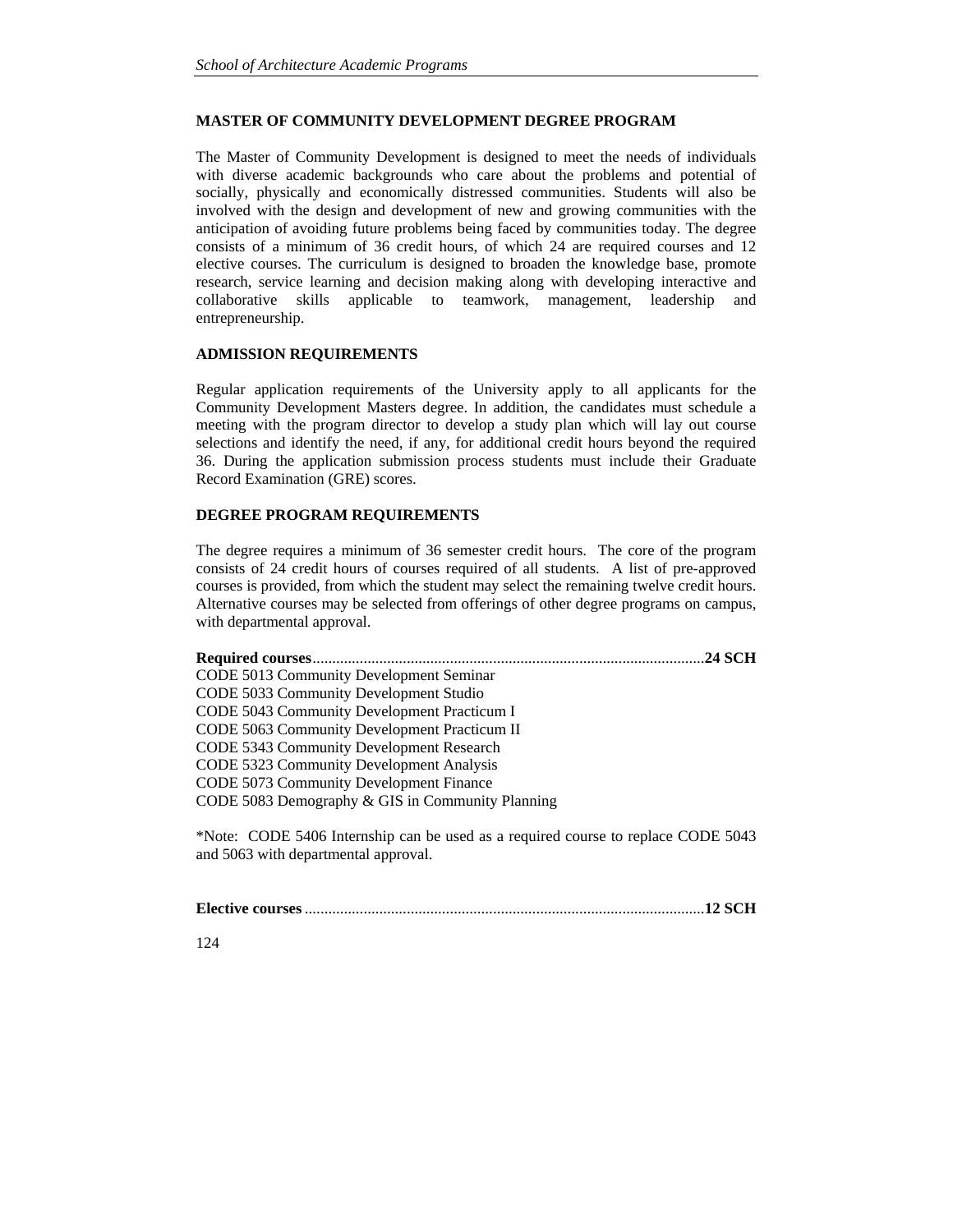# **MASTER OF COMMUNITY DEVELOPMENT DEGREE PROGRAM**

The Master of Community Development is designed to meet the needs of individuals with diverse academic backgrounds who care about the problems and potential of socially, physically and economically distressed communities. Students will also be involved with the design and development of new and growing communities with the anticipation of avoiding future problems being faced by communities today. The degree consists of a minimum of 36 credit hours, of which 24 are required courses and 12 elective courses. The curriculum is designed to broaden the knowledge base, promote research, service learning and decision making along with developing interactive and collaborative skills applicable to teamwork, management, leadership and entrepreneurship.

## **ADMISSION REQUIREMENTS**

Regular application requirements of the University apply to all applicants for the Community Development Masters degree. In addition, the candidates must schedule a meeting with the program director to develop a study plan which will lay out course selections and identify the need, if any, for additional credit hours beyond the required 36. During the application submission process students must include their Graduate Record Examination (GRE) scores.

# **DEGREE PROGRAM REQUIREMENTS**

The degree requires a minimum of 36 semester credit hours. The core of the program consists of 24 credit hours of courses required of all students. A list of pre-approved courses is provided, from which the student may select the remaining twelve credit hours. Alternative courses may be selected from offerings of other degree programs on campus, with departmental approval.

| .24 SCH                                                                                                                   |
|---------------------------------------------------------------------------------------------------------------------------|
| CODE 5013 Community Development Seminar                                                                                   |
| CODE 5033 Community Development Studio                                                                                    |
| CODE 5043 Community Development Practicum I                                                                               |
| CODE 5063 Community Development Practicum II                                                                              |
| CODE 5343 Community Development Research                                                                                  |
| CODE 5323 Community Development Analysis                                                                                  |
| CODE 5073 Community Development Finance                                                                                   |
| CODE 5083 Demography & GIS in Community Planning                                                                          |
| *Note: CODE 5406 Internship can be used as a required course to replace CODE 5043<br>and 5063 with departmental approval. |

|--|--|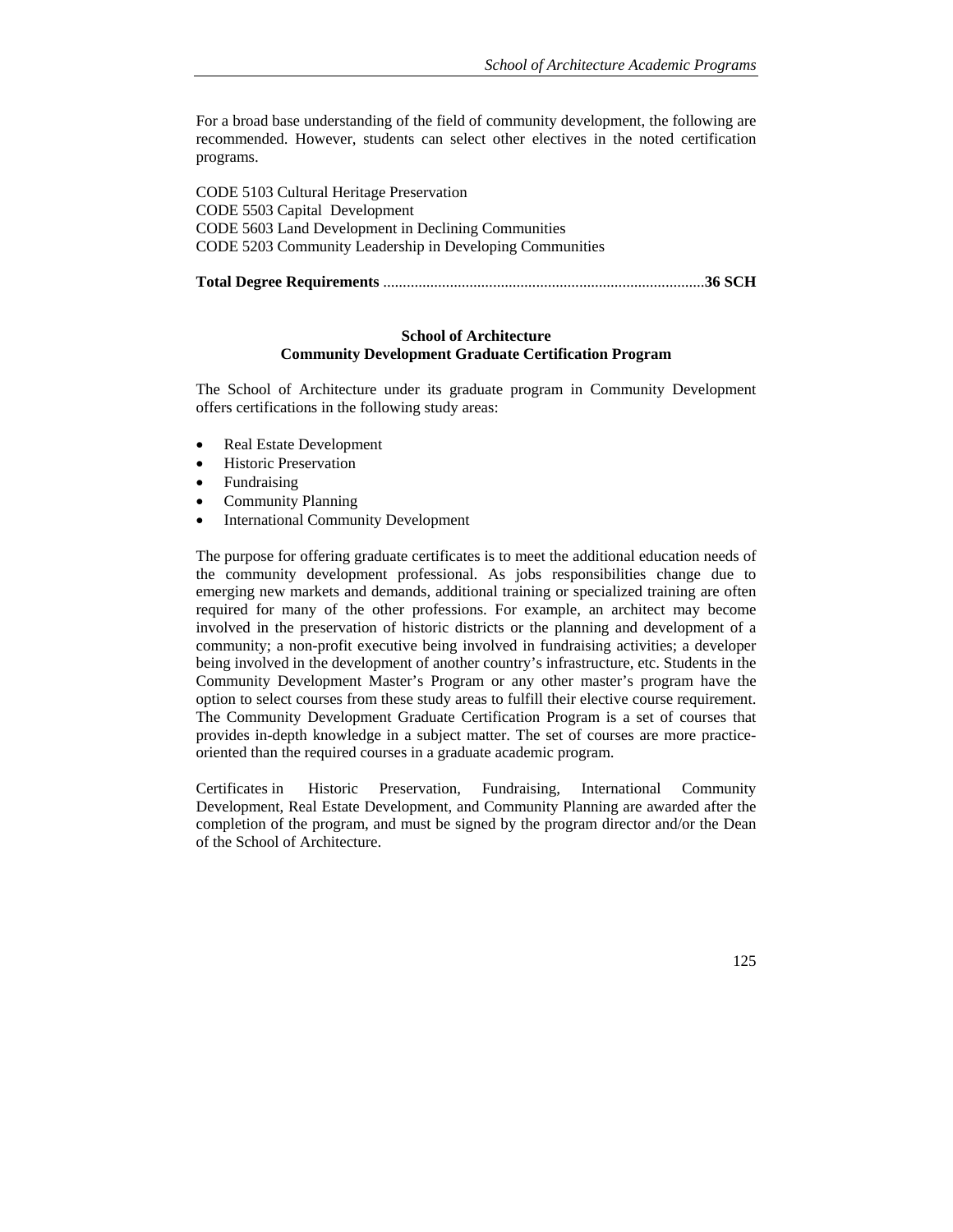For a broad base understanding of the field of community development, the following are recommended. However, students can select other electives in the noted certification programs.

CODE 5103 Cultural Heritage Preservation CODE 5503 Capital Development CODE 5603 Land Development in Declining Communities CODE 5203 Community Leadership in Developing Communities

**Total Degree Requirements** .................................................................................. **36 SCH** 

### **School of Architecture Community Development Graduate Certification Program**

The School of Architecture under its graduate program in Community Development offers certifications in the following study areas:

- Real Estate Development
- Historic Preservation
- Fundraising
- Community Planning
- International Community Development

The purpose for offering graduate certificates is to meet the additional education needs of the community development professional. As jobs responsibilities change due to emerging new markets and demands, additional training or specialized training are often required for many of the other professions. For example, an architect may become involved in the preservation of historic districts or the planning and development of a community; a non-profit executive being involved in fundraising activities; a developer being involved in the development of another country's infrastructure, etc. Students in the Community Development Master's Program or any other master's program have the option to select courses from these study areas to fulfill their elective course requirement. The Community Development Graduate Certification Program is a set of courses that provides in-depth knowledge in a subject matter. The set of courses are more practiceoriented than the required courses in a graduate academic program.

Certificates in Historic Preservation, Fundraising, International Community Development, Real Estate Development, and Community Planning are awarded after the completion of the program, and must be signed by the program director and/or the Dean of the School of Architecture.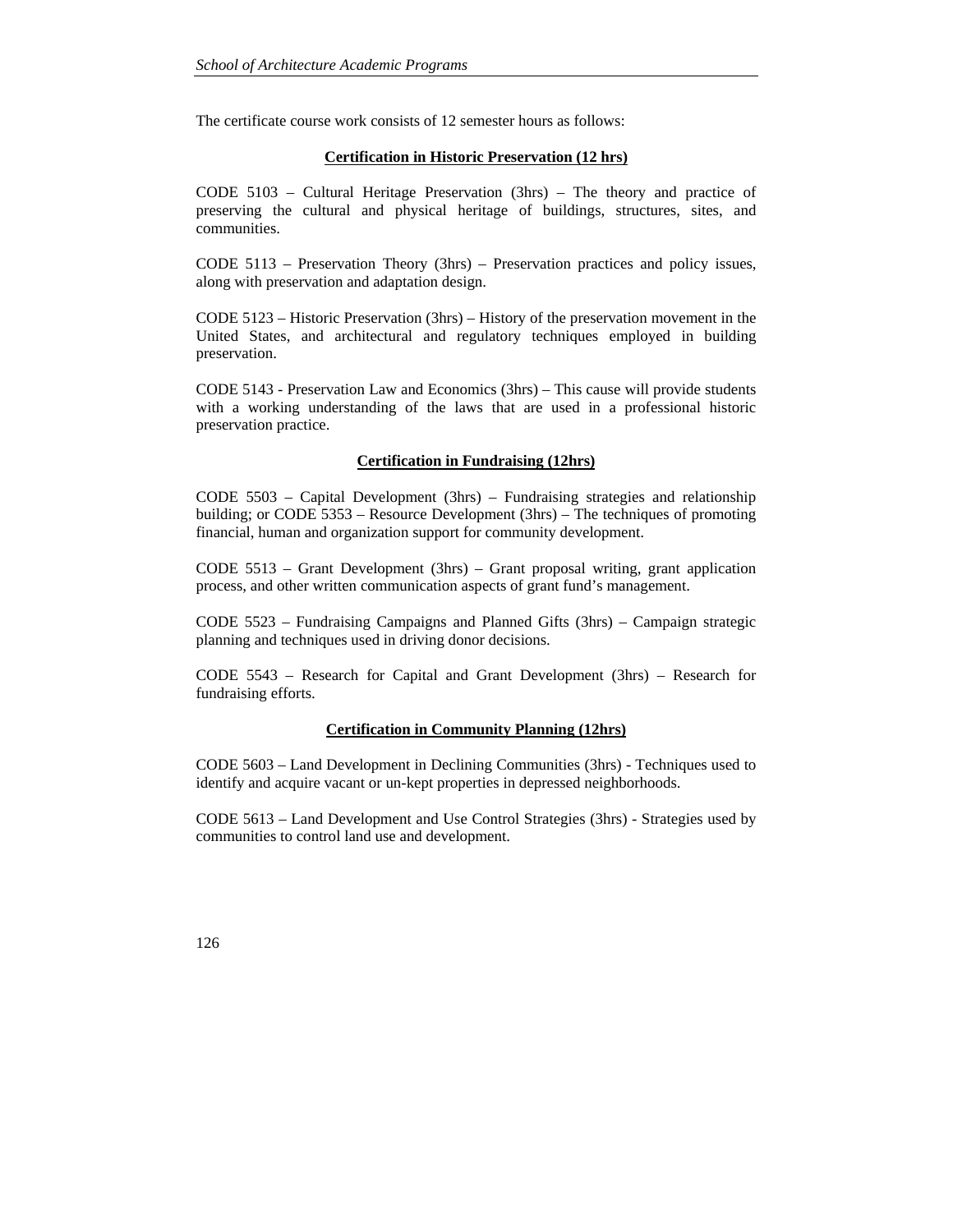The certificate course work consists of 12 semester hours as follows:

# **Certification in Historic Preservation (12 hrs)**

CODE 5103 – Cultural Heritage Preservation (3hrs) – The theory and practice of preserving the cultural and physical heritage of buildings, structures, sites, and communities.

CODE 5113 – Preservation Theory (3hrs) – Preservation practices and policy issues, along with preservation and adaptation design.

CODE 5123 – Historic Preservation (3hrs) – History of the preservation movement in the United States, and architectural and regulatory techniques employed in building preservation.

CODE 5143 - Preservation Law and Economics (3hrs) – This cause will provide students with a working understanding of the laws that are used in a professional historic preservation practice.

# **Certification in Fundraising (12hrs)**

CODE 5503 – Capital Development (3hrs) – Fundraising strategies and relationship building; or CODE 5353 – Resource Development (3hrs) – The techniques of promoting financial, human and organization support for community development.

CODE 5513 – Grant Development (3hrs) – Grant proposal writing, grant application process, and other written communication aspects of grant fund's management.

CODE 5523 – Fundraising Campaigns and Planned Gifts (3hrs) – Campaign strategic planning and techniques used in driving donor decisions.

CODE 5543 – Research for Capital and Grant Development (3hrs) – Research for fundraising efforts.

# **Certification in Community Planning (12hrs)**

CODE 5603 – Land Development in Declining Communities (3hrs) - Techniques used to identify and acquire vacant or un-kept properties in depressed neighborhoods.

CODE 5613 – Land Development and Use Control Strategies (3hrs) - Strategies used by communities to control land use and development.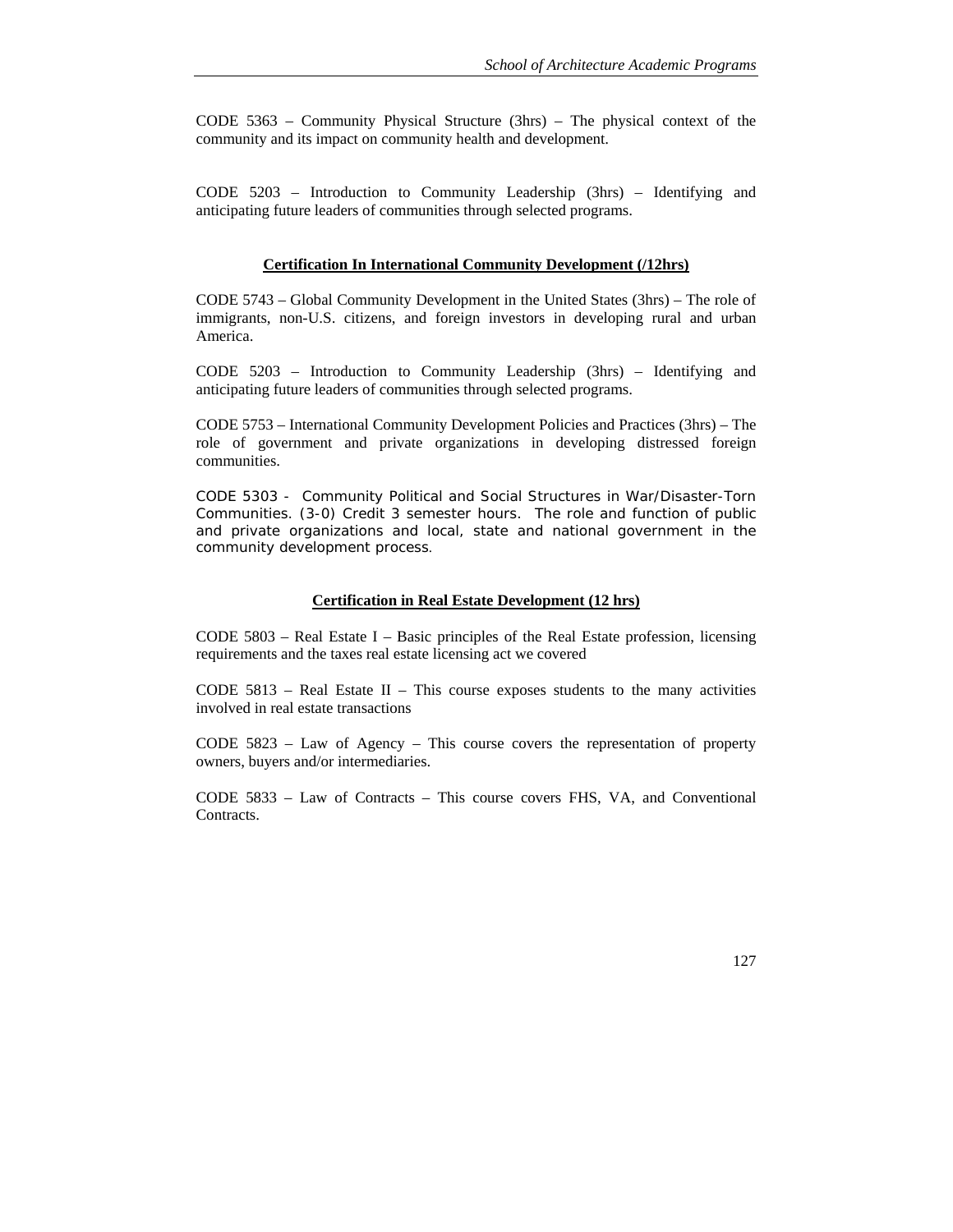CODE 5363 – Community Physical Structure (3hrs) – The physical context of the community and its impact on community health and development.

CODE 5203 – Introduction to Community Leadership (3hrs) – Identifying and anticipating future leaders of communities through selected programs.

#### **Certification In International Community Development (/12hrs)**

CODE 5743 – Global Community Development in the United States (3hrs) – The role of immigrants, non-U.S. citizens, and foreign investors in developing rural and urban America.

CODE 5203 – Introduction to Community Leadership (3hrs) – Identifying and anticipating future leaders of communities through selected programs.

CODE 5753 – International Community Development Policies and Practices (3hrs) – The role of government and private organizations in developing distressed foreign communities.

CODE 5303 - Community Political and Social Structures in War/Disaster-Torn Communities. (3-0) Credit 3 semester hours. The role and function of public and private organizations and local, state and national government in the community development process.

### **Certification in Real Estate Development (12 hrs)**

CODE  $5803$  – Real Estate I – Basic principles of the Real Estate profession, licensing requirements and the taxes real estate licensing act we covered

CODE  $5813$  – Real Estate II – This course exposes students to the many activities involved in real estate transactions

CODE 5823 – Law of Agency – This course covers the representation of property owners, buyers and/or intermediaries.

CODE 5833 – Law of Contracts – This course covers FHS, VA, and Conventional Contracts.